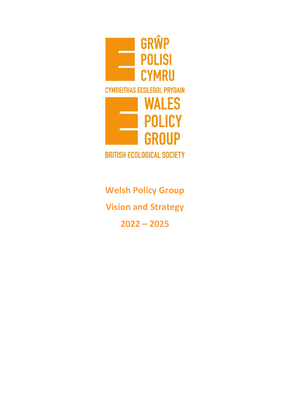

**Welsh Policy Group Vision and Strategy 2022 – 2025**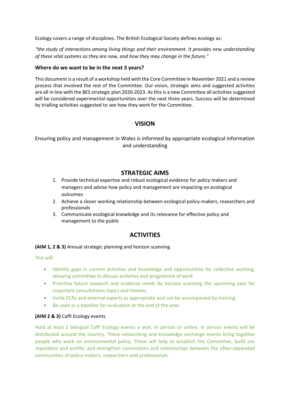Ecology covers a range of disciplines. The British Ecological Society defines ecology as:

*"the study of interactions among living things and their environment. It provides new understanding of these vital systems as they are now, and how they may change in the future."*

## **Where do we want to be in the next 3 years?**

This document is a result of a workshop held with the Core Committee in November 2021 and a review process that involved the rest of the Committee. Our vision, strategic aims and suggested activities are all in line with the BES strategic plan 2020-2023. As this is a new Committee all activities suggested will be considered experimental opportunities over the next three years. Success will be determined by trialling activities suggested to see how they work for the Committee.

# **VISION**

Ensuring policy and management in Wales is informed by appropriate ecological information and understanding

# **STRATEGIC AIMS**

- 1. Provide technical expertise and robust ecological evidence for policy makers and managers and advise how policy and management are impacting on ecological outcomes
- 2. Achieve a closer working relationship between ecological policy-makers, researchers and professionals
- 3. Communicate ecological knowledge and its relevance for effective policy and management to the public

# **ACTIVITIES**

#### **(AIM 1, 2 & 3)** Annual strategic planning and horizon scanning

This will:

- Identify gaps in current activities and knowledge and opportunities for collective working, allowing committee to discuss activities and programme of work
- Prioritise future research and evidence needs by horizon scanning the upcoming year for important consultations topics and themes.
- Invite ECRs and external experts as appropriate and can be accompanied by training.
- Be used as a baseline for evaluation at the end of the year.

## **(AIM 2 & 3)** Caffi Ecology events

Hold at least 2 bilingual Caffi Ecology events a year, in person or online. In person events will be distributed around the country. These networking and knowledge exchange events bring together people who work on environmental policy. These will help to establish the Committee, build our reputation and profile, and strengthen connections and relationships between the often-separated communities of policy-makers, researchers and professionals.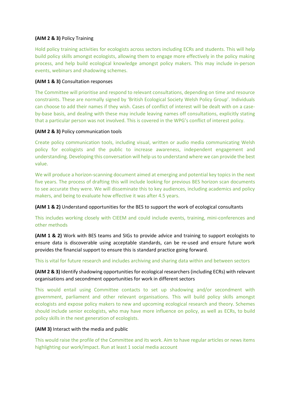## **(AIM 2 & 3)** Policy Training

Hold policy training activities for ecologists across sectors including ECRs and students. This will help build policy skills amongst ecologists, allowing them to engage more effectively in the policy making process, and help build ecological knowledge amongst policy makers. This may include in-person events, webinars and shadowing schemes.

### **(AIM 1 & 3)** Consultation responses

The Committee will prioritise and respond to relevant consultations, depending on time and resource constraints. These are normally signed by 'British Ecological Society Welsh Policy Group'. Individuals can choose to add their names if they wish. Cases of conflict of interest will be dealt with on a caseby-base basis, and dealing with these may include leaving names off consultations, explicitly stating that a particular person was not involved. This is covered in the WPG's conflict of interest policy.

### **(AIM 2 & 3)** Policy communication tools

Create policy communication tools, including visual, written or audio media communicating Welsh policy for ecologists and the public to increase awareness, independent engagement and understanding. Developing this conversation will help us to understand where we can provide the best value.

We will produce a horizon-scanning document aimed at emerging and potential key topics in the next five years. The process of drafting this will include looking for previous BES horizon scan documents to see accurate they were. We will disseminate this to key audiences, including academics and policy makers, and being to evaluate how effective it was after 4.5 years.

**(AIM 1 & 2)** Understand opportunities for the BES to support the work of ecological consultants

This includes working closely with CIEEM and could include events, training, mini-conferences and other methods

**(AIM 1 & 2)** Work with BES teams and SIGs to provide advice and training to support ecologists to ensure data is discoverable using acceptable standards, can be re-used and ensure future work provides the financial support to ensure this is standard practice going forward.

This is vital for future research and includes archiving and sharing data within and between sectors

**(AIM 2 & 3)** Identify shadowing opportunities for ecological researchers (including ECRs) with relevant organisations and secondment opportunities for work in different sectors

This would entail using Committee contacts to set up shadowing and/or secondment with government, parliament and other relevant organisations. This will build policy skills amongst ecologists and expose policy makers to new and upcoming ecological research and theory. Schemes should include senior ecologists, who may have more influence on policy, as well as ECRs, to build policy skills in the next generation of ecologists.

#### **(AIM 3)** Interact with the media and public

This would raise the profile of the Committee and its work. Aim to have regular articles or news items highlighting our work/impact. Run at least 1 social media account